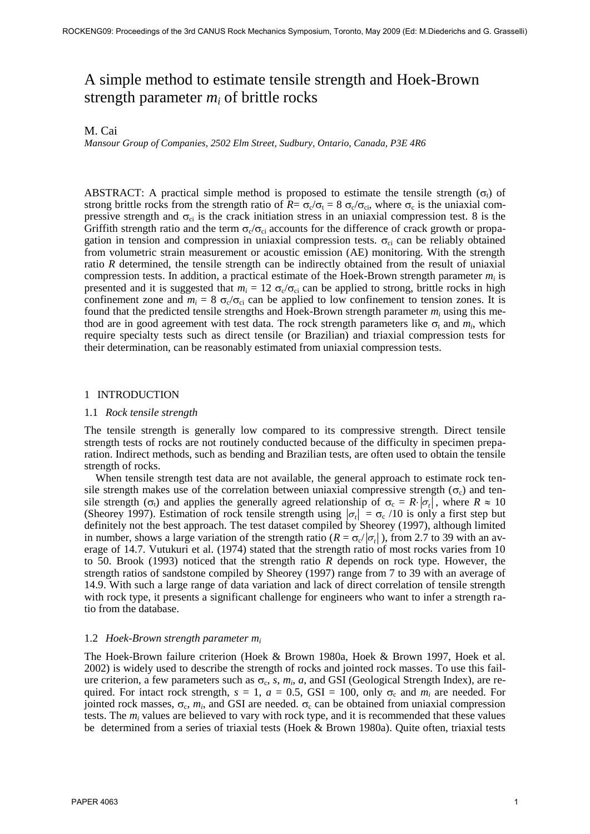# A simple method to estimate tensile strength and Hoek-Brown strength parameter  $m_i$  of brittle rocks

# M. Cai

*Mansour Group of Companies, 2502 Elm Street, Sudbury, Ontario, Canada, P3E 4R6*

ABSTRACT: A practical simple method is proposed to estimate the tensile strength  $(\sigma_i)$  of strong brittle rocks from the strength ratio of  $R = \sigma_c/\sigma_t = 8 \sigma_c/\sigma_{ci}$ , where  $\sigma_c$  is the uniaxial compressive strength and  $\sigma_{ci}$  is the crack initiation stress in an uniaxial compression test. 8 is the Griffith strength ratio and the term  $\sigma_{c}/\sigma_{ci}$  accounts for the difference of crack growth or propagation in tension and compression in uniaxial compression tests.  $\sigma_{ci}$  can be reliably obtained from volumetric strain measurement or acoustic emission (AE) monitoring. With the strength ratio *R* determined, the tensile strength can be indirectly obtained from the result of uniaxial compression tests. In addition, a practical estimate of the Hoek-Brown strength parameter  $m_i$  is presented and it is suggested that  $m_i = 12 \sigma_c/\sigma_{ci}$  can be applied to strong, brittle rocks in high confinement zone and  $m_i = 8 \sigma_c/\sigma_{ci}$  can be applied to low confinement to tension zones. It is found that the predicted tensile strengths and Hoek-Brown strength parameter  $m_i$  using this method are in good agreement with test data. The rock strength parameters like  $\sigma_t$  and  $m_i$ , which require specialty tests such as direct tensile (or Brazilian) and triaxial compression tests for their determination, can be reasonably estimated from uniaxial compression tests.

# 1 INTRODUCTION

#### 1.1 *Rock tensile strength*

The tensile strength is generally low compared to its compressive strength. Direct tensile strength tests of rocks are not routinely conducted because of the difficulty in specimen preparation. Indirect methods, such as bending and Brazilian tests, are often used to obtain the tensile strength of rocks.

When tensile strength test data are not available, the general approach to estimate rock tensile strength makes use of the correlation between uniaxial compressive strength ( $\sigma_c$ ) and tensile strength ( $\sigma_t$ ) and applies the generally agreed relationship of  $\sigma_c = R \cdot |\sigma_t|$ , where  $R \approx 10$ (Sheorey 1997). Estimation of rock tensile strength using  $|\sigma_t| = \sigma_c / 10$  is only a first step but definitely not the best approach. The test dataset compiled by Sheorey (1997), although limited in number, shows a large variation of the strength ratio ( $R = \sigma_c / |\sigma_t|$ ), from 2.7 to 39 with an average of 14.7. Vutukuri et al. (1974) stated that the strength ratio of most rocks varies from 10 to 50. Brook (1993) noticed that the strength ratio *R* depends on rock type. However, the strength ratios of sandstone compiled by Sheorey (1997) range from 7 to 39 with an average of 14.9. With such a large range of data variation and lack of direct correlation of tensile strength with rock type, it presents a significant challenge for engineers who want to infer a strength ratio from the database.

### 1.2 *Hoek-Brown strength parameter m<sup>i</sup>*

The Hoek-Brown failure criterion (Hoek & Brown 1980a, Hoek & Brown 1997, Hoek et al. 2002) is widely used to describe the strength of rocks and jointed rock masses. To use this failure criterion, a few parameters such as  $\sigma_c$ , s,  $m_i$ , a, and GSI (Geological Strength Index), are required. For intact rock strength,  $s = 1$ ,  $a = 0.5$ , GSI = 100, only  $\sigma_c$  and  $m_i$  are needed. For jointed rock masses,  $\sigma_c$ ,  $m_i$ , and GSI are needed.  $\sigma_c$  can be obtained from uniaxial compression tests. The  $m_i$  values are believed to vary with rock type, and it is recommended that these values be determined from a series of triaxial tests (Hoek & Brown 1980a). Quite often, triaxial tests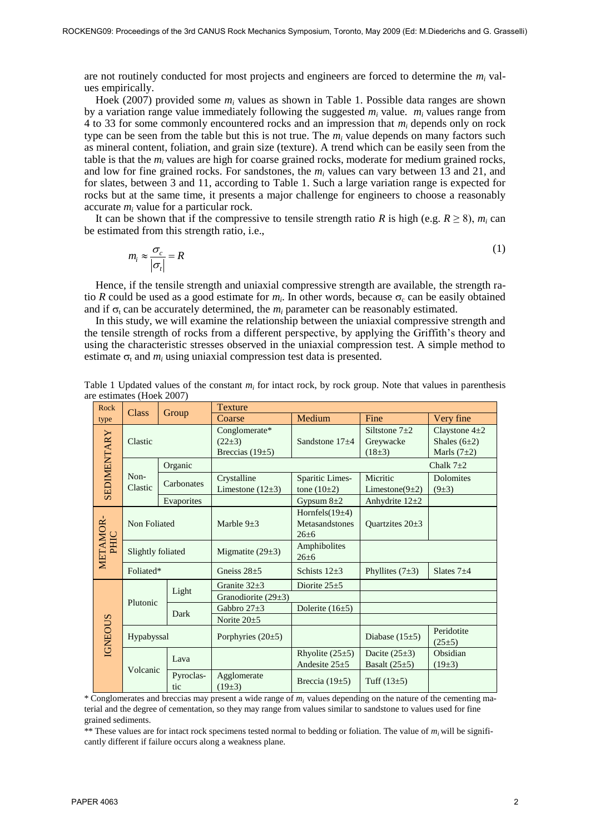are not routinely conducted for most projects and engineers are forced to determine the  $m_i$  values empirically.

Hoek (2007) provided some  $m_i$  values as shown in Table 1. Possible data ranges are shown by a variation range value immediately following the suggested  $m_i$  value.  $m_i$  values range from 4 to 33 for some commonly encountered rocks and an impression that *m<sup>i</sup>* depends only on rock type can be seen from the table but this is not true. The  $m_i$  value depends on many factors such as mineral content, foliation, and grain size (texture). A trend which can be easily seen from the table is that the  $m_i$  values are high for coarse grained rocks, moderate for medium grained rocks, and low for fine grained rocks. For sandstones, the  $m_i$  values can vary between 13 and 21, and for slates, between 3 and 11, according to Table 1. Such a large variation range is expected for rocks but at the same time, it presents a major challenge for engineers to choose a reasonably accurate  $m_i$  value for a particular rock.

It can be shown that if the compressive to tensile strength ratio *R* is high (e.g.  $R \ge 8$ ),  $m_i$  can be estimated from this strength ratio, i.e.,

$$
m_i \approx \frac{\sigma_c}{|\sigma_t|} = R \tag{1}
$$

Hence, if the tensile strength and uniaxial compressive strength are available, the strength ratio *R* could be used as a good estimate for  $m_i$ . In other words, because  $\sigma_c$  can be easily obtained and if  $\sigma_t$  can be accurately determined, the  $m_i$  parameter can be reasonably estimated.

In this study, we will examine the relationship between the uniaxial compressive strength and the tensile strength of rocks from a different perspective, by applying the Griffith's theory and using the characteristic stresses observed in the uniaxial compression test. A simple method to estimate  $\sigma_t$  and  $m_i$  using uniaxial compression test data is presented.

| Rock               | <b>Class</b>      |            | <b>Texture</b>          |                      |                       |                           |  |  |
|--------------------|-------------------|------------|-------------------------|----------------------|-----------------------|---------------------------|--|--|
| type               | Group             |            | Medium<br>Coarse        |                      | Fine                  | Very fine                 |  |  |
| <b>SEDIMENTARY</b> | Clastic           |            | Conglomerate*           |                      | Siltstone $7\pm 2$    | Claystone $4\pm 2$        |  |  |
|                    |                   |            | $(22\pm3)$              | Sandstone $17\pm4$   | Greywacke             | Shales $(6\pm2)$          |  |  |
|                    |                   |            | Breccias $(19±5)$       |                      | $(18\pm3)$            | Marls $(7\pm2)$           |  |  |
|                    | Non-<br>Clastic   | Organic    |                         |                      | Chalk $7\pm2$         |                           |  |  |
|                    |                   | Carbonates | Crystalline             | Sparitic Limes-      | Micritic              | Dolomites                 |  |  |
|                    |                   |            | Limestone $(12\pm3)$    | tone $(10\pm 2)$     | Limestone( $9\pm 2$ ) | (9±3)                     |  |  |
|                    |                   | Evaporites |                         | Gypsum $8\pm2$       | Anhydrite $12\pm 2$   |                           |  |  |
| METAMOR-<br>PHIC   | Non Foliated      |            |                         | Hornfels $(19±4)$    |                       |                           |  |  |
|                    |                   |            | Marble $9\pm3$          | Metasandstones       | Quartzites $20\pm3$   |                           |  |  |
|                    |                   |            |                         | $26 + 6$             |                       |                           |  |  |
|                    | Slightly foliated |            | Migmatite $(29±3)$      | Amphibolites         |                       |                           |  |  |
|                    |                   |            |                         | $26 \pm 6$           |                       |                           |  |  |
|                    | Foliated*         |            | Gneiss $28\pm5$         | Schists $12\pm3$     | Phyllites $(7±3)$     | Slates $7\pm4$            |  |  |
|                    |                   | Light      | Granite $32\pm3$        | Diorite $25 \pm 5$   |                       |                           |  |  |
|                    | Plutonic          |            | Granodiorite $(29\pm3)$ |                      |                       |                           |  |  |
| <b>IGNEOUS</b>     |                   | Dark       | Gabbro $27\pm3$         | Dolerite $(16\pm5)$  |                       |                           |  |  |
|                    |                   |            | Norite $20\pm 5$        |                      |                       |                           |  |  |
|                    | Hypabyssal        |            | Porphyries $(20\pm5)$   |                      | Diabase $(15±5)$      | Peridotite<br>$(25\pm 5)$ |  |  |
|                    |                   | Lava       |                         | Rhyolite $(25±5)$    | Dacite $(25\pm3)$     | Obsidian                  |  |  |
|                    | Volcanic          |            |                         | Andesite $25 \pm 5$  | Basalt $(25\pm5)$     | $(19\pm3)$                |  |  |
|                    |                   | Pyroclas-  | Agglomerate             | Breccia (19 $\pm$ 5) | Tuff $(13\pm5)$       |                           |  |  |
|                    |                   | tic        | $(19\pm3)$              |                      |                       |                           |  |  |

Table 1 Updated values of the constant  $m_i$  for intact rock, by rock group. Note that values in parenthesis are estimates (Hoek 2007)

\* Conglomerates and breccias may present a wide range of *mi* values depending on the nature of the cementing material and the degree of cementation, so they may range from values similar to sandstone to values used for fine grained sediments.

\*\* These values are for intact rock specimens tested normal to bedding or foliation. The value of  $m_i$  will be significantly different if failure occurs along a weakness plane.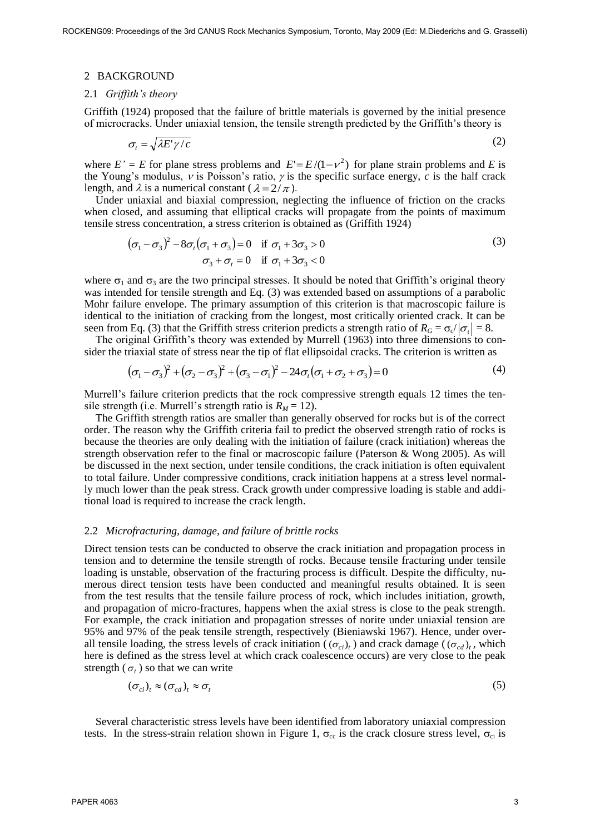### 2 BACKGROUND

# 2.1 *Griffith's theory*

Griffith (1924) proposed that the failure of brittle materials is governed by the initial presence of microcracks. Under uniaxial tension, the tensile strength predicted by the Griffith's theory is

$$
\sigma_t = \sqrt{\lambda E' \gamma / c} \tag{2}
$$

where  $E' = E$  for plane stress problems and  $E' = E/(1 - v^2)$  for plane strain problems and *E* is the Young's modulus,  $\nu$  is Poisson's ratio,  $\nu$  is the specific surface energy, *c* is the half crack length, and  $\lambda$  is a numerical constant ( $\lambda = 2/\pi$ ).

Under uniaxial and biaxial compression, neglecting the influence of friction on the cracks when closed, and assuming that elliptical cracks will propagate from the points of maximum tensile stress concentration, a stress criterion is obtained as (Griffith 1924)

$$
(\sigma_1 - \sigma_3)^2 - 8\sigma_t(\sigma_1 + \sigma_3) = 0 \quad \text{if } \sigma_1 + 3\sigma_3 > 0
$$
  

$$
\sigma_3 + \sigma_t = 0 \quad \text{if } \sigma_1 + 3\sigma_3 < 0
$$
 (3)

where  $\sigma_1$  and  $\sigma_3$  are the two principal stresses. It should be noted that Griffith's original theory was intended for tensile strength and Eq. (3) was extended based on assumptions of a parabolic Mohr failure envelope. The primary assumption of this criterion is that macroscopic failure is identical to the initiation of cracking from the longest, most critically oriented crack. It can be seen from Eq. (3) that the Griffith stress criterion predicts a strength ratio of  $R_G = \sigma_c / |\sigma_t| = 8$ .

The original Griffith's theory was extended by Murrell (1963) into three dimensions to consider the triaxial state of stress near the tip of flat ellipsoidal cracks. The criterion is written as

$$
(\sigma_1 - \sigma_3)^2 + (\sigma_2 - \sigma_3)^2 + (\sigma_3 - \sigma_1)^2 - 24\sigma_t(\sigma_1 + \sigma_2 + \sigma_3) = 0
$$
\n(4)

Murrell's failure criterion predicts that the rock compressive strength equals 12 times the tensile strength (i.e. Murrell's strength ratio is  $R_M = 12$ ).

The Griffith strength ratios are smaller than generally observed for rocks but is of the correct order. The reason why the Griffith criteria fail to predict the observed strength ratio of rocks is because the theories are only dealing with the initiation of failure (crack initiation) whereas the strength observation refer to the final or macroscopic failure (Paterson & Wong 2005). As will be discussed in the next section, under tensile conditions, the crack initiation is often equivalent to total failure. Under compressive conditions, crack initiation happens at a stress level normally much lower than the peak stress. Crack growth under compressive loading is stable and additional load is required to increase the crack length.

## 2.2 *Microfracturing, damage, and failure of brittle rocks*

Direct tension tests can be conducted to observe the crack initiation and propagation process in tension and to determine the tensile strength of rocks. Because tensile fracturing under tensile loading is unstable, observation of the fracturing process is difficult. Despite the difficulty, numerous direct tension tests have been conducted and meaningful results obtained. It is seen from the test results that the tensile failure process of rock, which includes initiation, growth, and propagation of micro-fractures, happens when the axial stress is close to the peak strength. For example, the crack initiation and propagation stresses of norite under uniaxial tension are 95% and 97% of the peak tensile strength, respectively (Bieniawski 1967). Hence, under overall tensile loading, the stress levels of crack initiation ( $(\sigma_{ci})_t$ ) and crack damage ( $(\sigma_{cd})_t$ , which here is defined as the stress level at which crack coalescence occurs) are very close to the peak strength  $(\sigma_t)$  so that we can write

$$
(\sigma_{ci})_t \approx (\sigma_{cd})_t \approx \sigma_t \tag{5}
$$

Several characteristic stress levels have been identified from laboratory uniaxial compression tests. In the stress-strain relation shown in Figure 1,  $\sigma_{cc}$  is the crack closure stress level,  $\sigma_{ci}$  is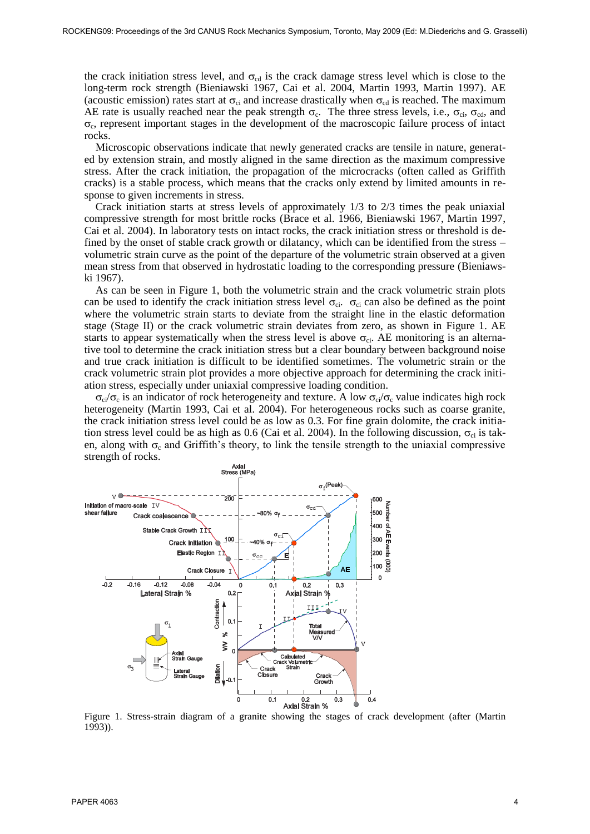the crack initiation stress level, and  $\sigma_{cd}$  is the crack damage stress level which is close to the long-term rock strength (Bieniawski 1967, Cai et al. 2004, Martin 1993, Martin 1997). AE (acoustic emission) rates start at  $\sigma_{ci}$  and increase drastically when  $\sigma_{cd}$  is reached. The maximum AE rate is usually reached near the peak strength  $\sigma_c$ . The three stress levels, i.e.,  $\sigma_{ci}$ ,  $\sigma_{cd}$ , and  $\sigma_c$ , represent important stages in the development of the macroscopic failure process of intact rocks.

Microscopic observations indicate that newly generated cracks are tensile in nature, generated by extension strain, and mostly aligned in the same direction as the maximum compressive stress. After the crack initiation, the propagation of the microcracks (often called as Griffith cracks) is a stable process, which means that the cracks only extend by limited amounts in response to given increments in stress.

Crack initiation starts at stress levels of approximately 1/3 to 2/3 times the peak uniaxial compressive strength for most brittle rocks (Brace et al. 1966, Bieniawski 1967, Martin 1997, Cai et al. 2004). In laboratory tests on intact rocks, the crack initiation stress or threshold is defined by the onset of stable crack growth or dilatancy, which can be identified from the stress – volumetric strain curve as the point of the departure of the volumetric strain observed at a given mean stress from that observed in hydrostatic loading to the corresponding pressure (Bieniawski 1967).

As can be seen in Figure 1, both the volumetric strain and the crack volumetric strain plots can be used to identify the crack initiation stress level  $\sigma_{ci}$ .  $\sigma_{ci}$  can also be defined as the point where the volumetric strain starts to deviate from the straight line in the elastic deformation stage (Stage II) or the crack volumetric strain deviates from zero, as shown in Figure 1. AE starts to appear systematically when the stress level is above  $\sigma_{ci}$ . AE monitoring is an alternative tool to determine the crack initiation stress but a clear boundary between background noise and true crack initiation is difficult to be identified sometimes. The volumetric strain or the crack volumetric strain plot provides a more objective approach for determining the crack initiation stress, especially under uniaxial compressive loading condition.

 $\sigma_{ci}/\sigma_c$  is an indicator of rock heterogeneity and texture. A low  $\sigma_{ci}/\sigma_c$  value indicates high rock heterogeneity (Martin 1993, Cai et al. 2004). For heterogeneous rocks such as coarse granite, the crack initiation stress level could be as low as 0.3. For fine grain dolomite, the crack initiation stress level could be as high as 0.6 (Cai et al. 2004). In the following discussion,  $\sigma_{ci}$  is taken, along with  $\sigma_c$  and Griffith's theory, to link the tensile strength to the uniaxial compressive strength of rocks.



Figure 1. Stress-strain diagram of a granite showing the stages of crack development (after (Martin 1993)).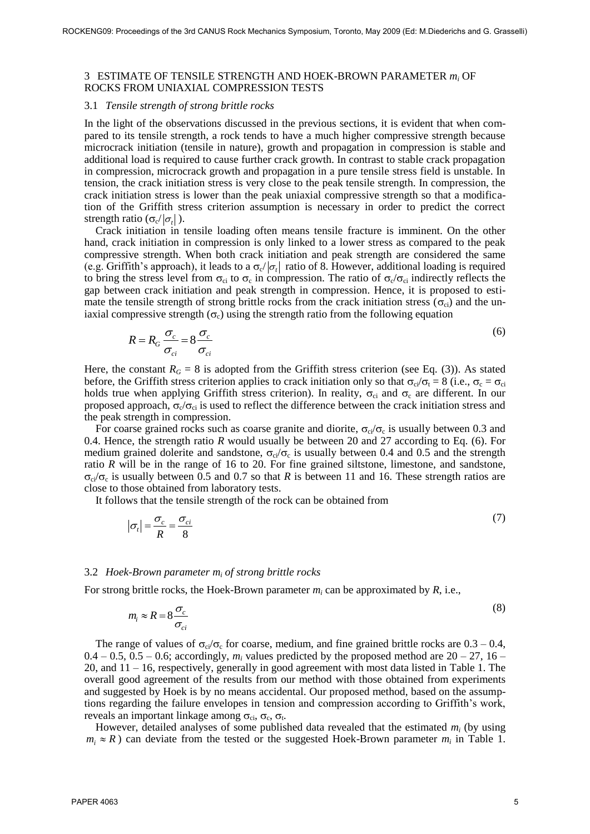## 3 ESTIMATE OF TENSILE STRENGTH AND HOEK-BROWN PARAMETER *m<sup>i</sup>* OF ROCKS FROM UNIAXIAL COMPRESSION TESTS

## 3.1 *Tensile strength of strong brittle rocks*

In the light of the observations discussed in the previous sections, it is evident that when compared to its tensile strength, a rock tends to have a much higher compressive strength because microcrack initiation (tensile in nature), growth and propagation in compression is stable and additional load is required to cause further crack growth. In contrast to stable crack propagation in compression, microcrack growth and propagation in a pure tensile stress field is unstable. In tension, the crack initiation stress is very close to the peak tensile strength. In compression, the crack initiation stress is lower than the peak uniaxial compressive strength so that a modification of the Griffith stress criterion assumption is necessary in order to predict the correct strength ratio ( $\sigma_c / |\sigma_t|$ ).

Crack initiation in tensile loading often means tensile fracture is imminent. On the other hand, crack initiation in compression is only linked to a lower stress as compared to the peak compressive strength. When both crack initiation and peak strength are considered the same (e.g. Griffith's approach), it leads to a  $\sigma_c/\sigma_t$  ratio of 8. However, additional loading is required to bring the stress level from  $\sigma_{ci}$  to  $\sigma_c$  in compression. The ratio of  $\sigma_c/\sigma_{ci}$  indirectly reflects the gap between crack initiation and peak strength in compression. Hence, it is proposed to estimate the tensile strength of strong brittle rocks from the crack initiation stress ( $\sigma_{ci}$ ) and the uniaxial compressive strength  $(\sigma_c)$  using the strength ratio from the following equation

$$
R = R_G \frac{\sigma_c}{\sigma_{ci}} = 8 \frac{\sigma_c}{\sigma_{ci}} \tag{6}
$$

Here, the constant  $R_G = 8$  is adopted from the Griffith stress criterion (see Eq. (3)). As stated before, the Griffith stress criterion applies to crack initiation only so that  $\sigma_{ci}/\sigma_t = 8$  (i.e.,  $\sigma_c = \sigma_{ci}$ holds true when applying Griffith stress criterion). In reality,  $\sigma_{ci}$  and  $\sigma_c$  are different. In our proposed approach,  $\sigma_{c}/\sigma_{ci}$  is used to reflect the difference between the crack initiation stress and the peak strength in compression.

For coarse grained rocks such as coarse granite and diorite,  $\sigma_{ci}/\sigma_c$  is usually between 0.3 and 0.4. Hence, the strength ratio *R* would usually be between 20 and 27 according to Eq. (6). For medium grained dolerite and sandstone,  $\sigma_{ci}/\sigma_c$  is usually between 0.4 and 0.5 and the strength ratio *R* will be in the range of 16 to 20. For fine grained siltstone, limestone, and sandstone,  $\sigma_{ci}/\sigma_c$  is usually between 0.5 and 0.7 so that *R* is between 11 and 16. These strength ratios are close to those obtained from laboratory tests.

It follows that the tensile strength of the rock can be obtained from

$$
\left|\sigma_t\right| = \frac{\sigma_c}{R} = \frac{\sigma_{ci}}{8} \tag{7}
$$

# 3.2 *Hoek-Brown parameter m<sup>i</sup> of strong brittle rocks*

For strong brittle rocks, the Hoek-Brown parameter  $m_i$  can be approximated by  $R$ , i.e.,

$$
m_i \approx R = 8 \frac{\sigma_c}{\sigma_{ci}} \tag{8}
$$

The range of values of  $\sigma_{ci}/\sigma_c$  for coarse, medium, and fine grained brittle rocks are  $0.3 - 0.4$ ,  $0.4 - 0.5$ ,  $0.5 - 0.6$ ; accordingly,  $m_i$  values predicted by the proposed method are  $20 - 27$ ,  $16 -$ 20, and 11 – 16, respectively, generally in good agreement with most data listed in Table 1. The overall good agreement of the results from our method with those obtained from experiments and suggested by Hoek is by no means accidental. Our proposed method, based on the assumptions regarding the failure envelopes in tension and compression according to Griffith's work, reveals an important linkage among  $\sigma_{ci}$ ,  $\sigma_c$ ,  $\sigma_t$ .

However, detailed analyses of some published data revealed that the estimated *m<sup>i</sup>* (by using  $m_i \approx R$ ) can deviate from the tested or the suggested Hoek-Brown parameter  $m_i$  in Table 1.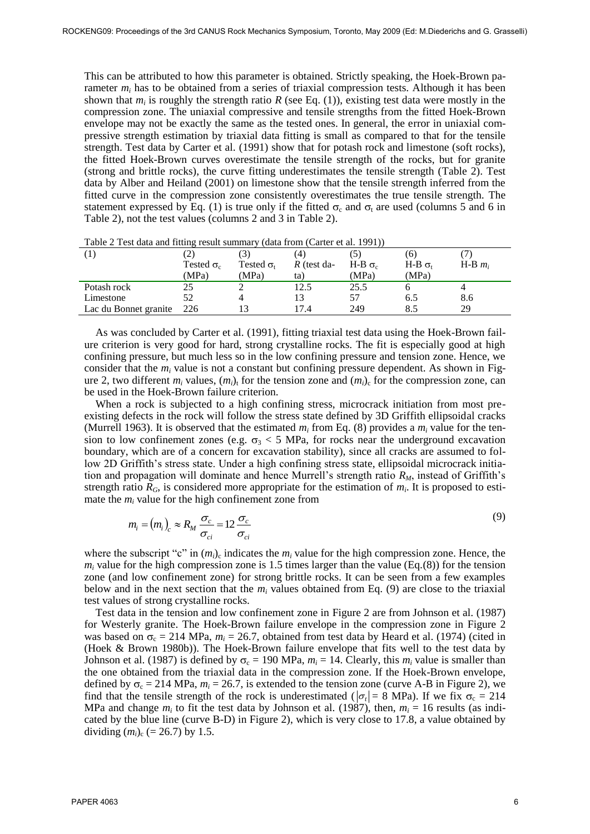This can be attributed to how this parameter is obtained. Strictly speaking, the Hoek-Brown parameter  $m_i$  has to be obtained from a series of triaxial compression tests. Although it has been shown that  $m_i$  is roughly the strength ratio  $R$  (see Eq. (1)), existing test data were mostly in the compression zone. The uniaxial compressive and tensile strengths from the fitted Hoek-Brown envelope may not be exactly the same as the tested ones. In general, the error in uniaxial compressive strength estimation by triaxial data fitting is small as compared to that for the tensile strength. Test data by Carter et al. (1991) show that for potash rock and limestone (soft rocks), the fitted Hoek-Brown curves overestimate the tensile strength of the rocks, but for granite (strong and brittle rocks), the curve fitting underestimates the tensile strength (Table 2). Test data by Alber and Heiland (2001) on limestone show that the tensile strength inferred from the fitted curve in the compression zone consistently overestimates the true tensile strength. The statement expressed by Eq. (1) is true only if the fitted  $\sigma_c$  and  $\sigma_t$  are used (columns 5 and 6 in Table 2), not the test values (columns 2 and 3 in Table 2).

| $\left( 1\right)$     |                   | $\mathcal{E}$     | (4)           |                           | [O]     |             |
|-----------------------|-------------------|-------------------|---------------|---------------------------|---------|-------------|
|                       | Tested $\sigma_c$ | Tested $\sigma_t$ | $R$ (test da- | H-B $\sigma$ <sub>c</sub> | $H-B$ σ | $H-B$ $m_i$ |
|                       | (MPa)             | (MPa)             | ta)           | (MPa)                     | (MPa)   |             |
| Potash rock           |                   |                   | l2.5          | 25.5                      |         |             |
| Limestone             | 52                |                   |               |                           | 6.5     | 8.6         |
| Lac du Bonnet granite | 226               |                   | 17 4          | 249                       |         | 29          |

Table 2 Test data and fitting result summary (data from (Carter et al. 1991))

As was concluded by Carter et al. (1991), fitting triaxial test data using the Hoek-Brown failure criterion is very good for hard, strong crystalline rocks. The fit is especially good at high confining pressure, but much less so in the low confining pressure and tension zone. Hence, we consider that the  $m_i$  value is not a constant but confining pressure dependent. As shown in Figure 2, two different  $m_i$  values,  $(m_i)$ <sub>t</sub> for the tension zone and  $(m_i)$ <sub>c</sub> for the compression zone, can be used in the Hoek-Brown failure criterion.

When a rock is subjected to a high confining stress, microcrack initiation from most preexisting defects in the rock will follow the stress state defined by 3D Griffith ellipsoidal cracks (Murrell 1963). It is observed that the estimated  $m_i$  from Eq. (8) provides a  $m_i$  value for the tension to low confinement zones (e.g.  $\sigma_3$  < 5 MPa, for rocks near the underground excavation boundary, which are of a concern for excavation stability), since all cracks are assumed to follow 2D Griffith's stress state. Under a high confining stress state, ellipsoidal microcrack initiation and propagation will dominate and hence Murrell's strength ratio *RM*, instead of Griffith's strength ratio  $R_G$ , is considered more appropriate for the estimation of  $m_i$ . It is proposed to estimate the  $m_i$  value for the high confinement zone from

$$
m_i = (m_i)_c \approx R_M \frac{\sigma_c}{\sigma_{ci}} = 12 \frac{\sigma_c}{\sigma_{ci}}
$$
\n
$$
(9)
$$

where the subscript "c" in  $(m_i)$ <sub>c</sub> indicates the  $m_i$  value for the high compression zone. Hence, the  $m_i$  value for the high compression zone is 1.5 times larger than the value (Eq.(8)) for the tension zone (and low confinement zone) for strong brittle rocks. It can be seen from a few examples below and in the next section that the  $m_i$  values obtained from Eq. (9) are close to the triaxial test values of strong crystalline rocks.

Test data in the tension and low confinement zone in Figure 2 are from Johnson et al. (1987) for Westerly granite. The Hoek-Brown failure envelope in the compression zone in Figure 2 was based on  $\sigma_c = 214 \text{ MPa}$ ,  $m_i = 26.7$ , obtained from test data by Heard et al. (1974) (cited in (Hoek & Brown 1980b)). The Hoek-Brown failure envelope that fits well to the test data by Johnson et al. (1987) is defined by  $\sigma_c = 190 \text{ MPa}$ ,  $m_i = 14$ . Clearly, this  $m_i$  value is smaller than the one obtained from the triaxial data in the compression zone. If the Hoek-Brown envelope, defined by  $\sigma_c = 214 \text{ MPa}$ ,  $m_i = 26.7$ , is extended to the tension zone (curve A-B in Figure 2), we find that the tensile strength of the rock is underestimated ( $|\sigma_t| = 8$  MPa). If we fix  $\sigma_c = 214$ MPa and change  $m_i$  to fit the test data by Johnson et al. (1987), then,  $m_i = 16$  results (as indicated by the blue line (curve B-D) in Figure 2), which is very close to 17.8, a value obtained by dividing  $(m_i)_{c}$  (= 26.7) by 1.5.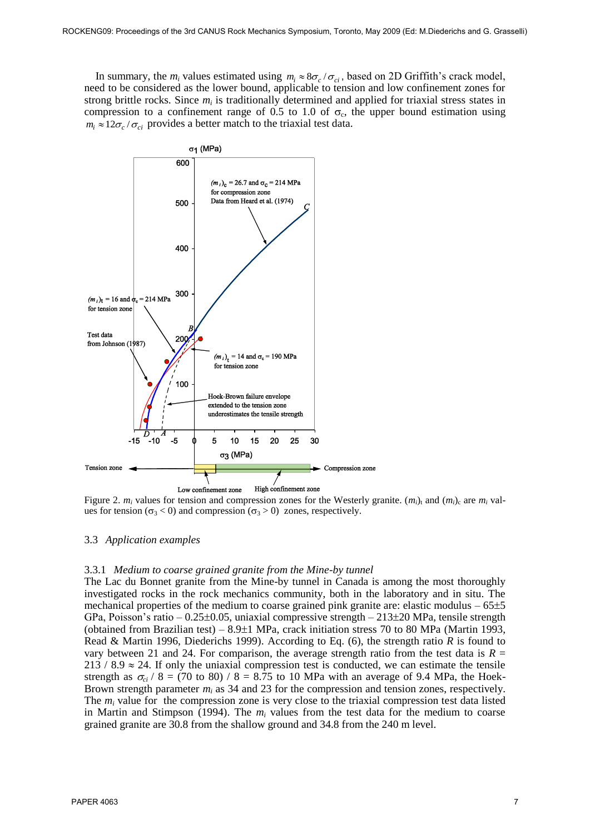In summary, the  $m_i$  values estimated using  $m_i \approx 8\sigma_c/\sigma_{ci}$ , based on 2D Griffith's crack model, need to be considered as the lower bound, applicable to tension and low confinement zones for strong brittle rocks. Since  $m_i$  is traditionally determined and applied for triaxial stress states in compression to a confinement range of 0.5 to 1.0 of  $\sigma_c$ , the upper bound estimation using  $m_i \approx 12 \sigma_c / \sigma_{ci}$  provides a better match to the triaxial test data.



Figure 2.  $m_i$  values for tension and compression zones for the Westerly granite.  $(m_i)_t$  and  $(m_i)_c$  are  $m_i$  values for tension ( $\sigma_3$  < 0) and compression ( $\sigma_3$  > 0) zones, respectively.

# 3.3 *Application examples*

# 3.3.1 *Medium to coarse grained granite from the Mine-by tunnel*

The Lac du Bonnet granite from the Mine-by tunnel in Canada is among the most thoroughly investigated rocks in the rock mechanics community, both in the laboratory and in situ. The mechanical properties of the medium to coarse grained pink granite are: elastic modulus  $-65\pm5$ GPa, Poisson's ratio - 0.25 $\pm$ 0.05, uniaxial compressive strength - 213 $\pm$ 20 MPa, tensile strength (obtained from Brazilian test) –  $8.9\pm1$  MPa, crack initiation stress 70 to 80 MPa (Martin 1993, Read & Martin 1996, Diederichs 1999). According to Eq. (6), the strength ratio *R* is found to vary between 21 and 24. For comparison, the average strength ratio from the test data is  $R =$ 213 / 8.9  $\approx$  24. If only the uniaxial compression test is conducted, we can estimate the tensile strength as  $\sigma_{ci}$  / 8 = (70 to 80) / 8 = 8.75 to 10 MPa with an average of 9.4 MPa, the Hoek-Brown strength parameter  $m_i$  as 34 and 23 for the compression and tension zones, respectively. The  $m_i$  value for the compression zone is very close to the triaxial compression test data listed in Martin and Stimpson (1994). The  $m_i$  values from the test data for the medium to coarse grained granite are 30.8 from the shallow ground and 34.8 from the 240 m level.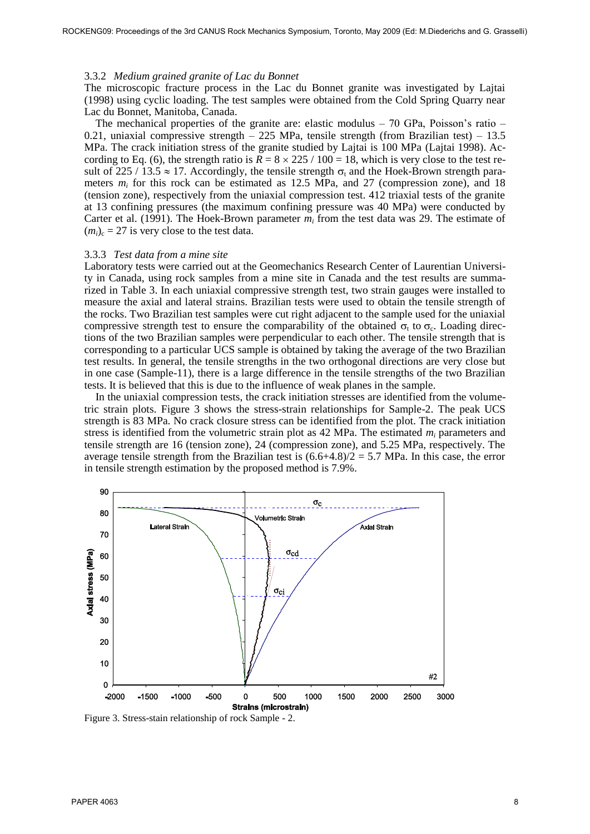### 3.3.2 *Medium grained granite of Lac du Bonnet*

The microscopic fracture process in the Lac du Bonnet granite was investigated by Lajtai (1998) using cyclic loading. The test samples were obtained from the Cold Spring Quarry near Lac du Bonnet, Manitoba, Canada.

The mechanical properties of the granite are: elastic modulus – 70 GPa, Poisson's ratio – 0.21, uniaxial compressive strength – 225 MPa, tensile strength (from Brazilian test) – 13.5 MPa. The crack initiation stress of the granite studied by Lajtai is 100 MPa (Lajtai 1998). According to Eq. (6), the strength ratio is  $\overline{R} = 8 \times 225 / 100 = 18$ , which is very close to the test result of 225 / 13.5  $\approx$  17. Accordingly, the tensile strength  $\sigma_t$  and the Hoek-Brown strength parameters  $m_i$  for this rock can be estimated as 12.5 MPa, and 27 (compression zone), and 18 (tension zone), respectively from the uniaxial compression test. 412 triaxial tests of the granite at 13 confining pressures (the maximum confining pressure was 40 MPa) were conducted by Carter et al. (1991). The Hoek-Brown parameter  $m_i$  from the test data was 29. The estimate of  $(m_i)_c = 27$  is very close to the test data.

### 3.3.3 *Test data from a mine site*

Laboratory tests were carried out at the Geomechanics Research Center of Laurentian University in Canada, using rock samples from a mine site in Canada and the test results are summarized in Table 3. In each uniaxial compressive strength test, two strain gauges were installed to measure the axial and lateral strains. Brazilian tests were used to obtain the tensile strength of the rocks. Two Brazilian test samples were cut right adjacent to the sample used for the uniaxial compressive strength test to ensure the comparability of the obtained  $\sigma_t$  to  $\sigma_c$ . Loading directions of the two Brazilian samples were perpendicular to each other. The tensile strength that is corresponding to a particular UCS sample is obtained by taking the average of the two Brazilian test results. In general, the tensile strengths in the two orthogonal directions are very close but in one case (Sample-11), there is a large difference in the tensile strengths of the two Brazilian tests. It is believed that this is due to the influence of weak planes in the sample.

In the uniaxial compression tests, the crack initiation stresses are identified from the volumetric strain plots. Figure 3 shows the stress-strain relationships for Sample-2. The peak UCS strength is 83 MPa. No crack closure stress can be identified from the plot. The crack initiation stress is identified from the volumetric strain plot as 42 MPa. The estimated *m<sup>i</sup>* parameters and tensile strength are 16 (tension zone), 24 (compression zone), and 5.25 MPa, respectively. The average tensile strength from the Brazilian test is  $(6.6+4.8)/2 = 5.7$  MPa. In this case, the error in tensile strength estimation by the proposed method is 7.9%.



Figure 3. Stress-stain relationship of rock Sample - 2.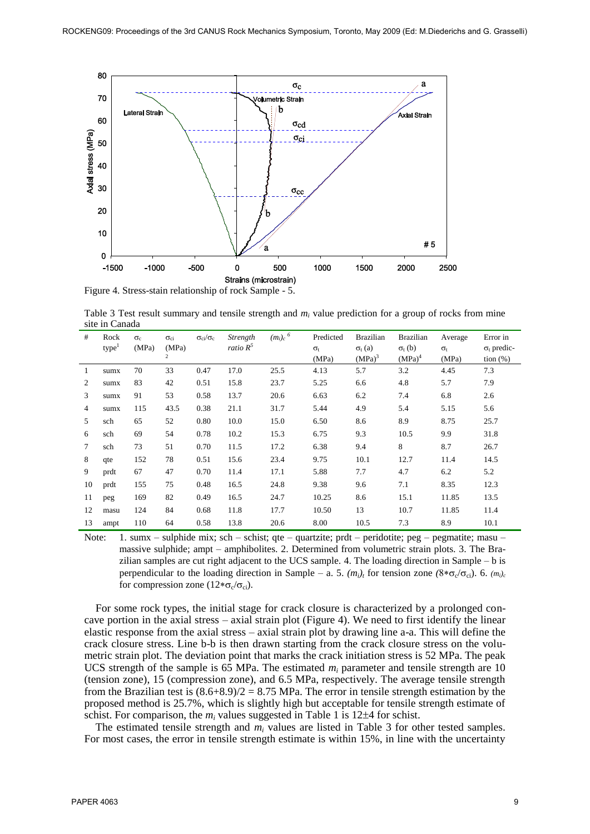

Table 3 Test result summary and tensile strength and  $m_i$  value prediction for a group of rocks from mine site in Canada

| #  | Rock              | $\sigma_c$ | $\sigma_{ci}$ | $\sigma_{ci}/\sigma_c$ | Strength    | $(m_i)_c$ $^6$ | Predicted    | <b>Brazilian</b>   | <b>Brazilian</b>   | Average      | Error in           |
|----|-------------------|------------|---------------|------------------------|-------------|----------------|--------------|--------------------|--------------------|--------------|--------------------|
|    | type <sup>1</sup> | (MPa)      | (MPa)         |                        | ratio $R^5$ |                | $\sigma_{t}$ | $\sigma_t$ (a)     | $\sigma_{t}$ (b)   | $\sigma_{t}$ | $\sigma_t$ predic- |
|    |                   |            | 2             |                        |             |                | (MPa)        | (MPa) <sup>3</sup> | (MPa) <sup>4</sup> | (MPa)        | tion $(\%)$        |
| 1  | sumx              | 70         | 33            | 0.47                   | 17.0        | 25.5           | 4.13         | 5.7                | 3.2                | 4.45         | 7.3                |
| 2  | sumx              | 83         | 42            | 0.51                   | 15.8        | 23.7           | 5.25         | 6.6                | 4.8                | 5.7          | 7.9                |
| 3  | sumx              | 91         | 53            | 0.58                   | 13.7        | 20.6           | 6.63         | 6.2                | 7.4                | 6.8          | 2.6                |
| 4  | sumx              | 115        | 43.5          | 0.38                   | 21.1        | 31.7           | 5.44         | 4.9                | 5.4                | 5.15         | 5.6                |
| 5  | sch               | 65         | 52            | 0.80                   | 10.0        | 15.0           | 6.50         | 8.6                | 8.9                | 8.75         | 25.7               |
| 6  | sch               | 69         | 54            | 0.78                   | 10.2        | 15.3           | 6.75         | 9.3                | 10.5               | 9.9          | 31.8               |
| 7  | sch               | 73         | 51            | 0.70                   | 11.5        | 17.2           | 6.38         | 9.4                | 8                  | 8.7          | 26.7               |
| 8  | qte               | 152        | 78            | 0.51                   | 15.6        | 23.4           | 9.75         | 10.1               | 12.7               | 11.4         | 14.5               |
| 9  | prdt              | 67         | 47            | 0.70                   | 11.4        | 17.1           | 5.88         | 7.7                | 4.7                | 6.2          | 5.2                |
| 10 | prdt              | 155        | 75            | 0.48                   | 16.5        | 24.8           | 9.38         | 9.6                | 7.1                | 8.35         | 12.3               |
| 11 | peg               | 169        | 82            | 0.49                   | 16.5        | 24.7           | 10.25        | 8.6                | 15.1               | 11.85        | 13.5               |
| 12 | masu              | 124        | 84            | 0.68                   | 11.8        | 17.7           | 10.50        | 13                 | 10.7               | 11.85        | 11.4               |
| 13 | ampt              | 110        | 64            | 0.58                   | 13.8        | 20.6           | 8.00         | 10.5               | 7.3                | 8.9          | 10.1               |

Note: 1. sumx – sulphide mix; sch – schist; qte – quartzite; prdt – peridotite; peg – pegmatite; masu – massive sulphide; ampt – amphibolites. 2. Determined from volumetric strain plots. 3. The Brazilian samples are cut right adjacent to the UCS sample. 4. The loading direction in Sample – b is perpendicular to the loading direction in Sample – a. 5.  $(m_i)_t$  for tension zone  $(8 * \sigma_c / \sigma_{ci})$ . 6.  $(m_i)_c$ for compression zone  $(12 * \sigma_c / \sigma_{ci})$ .

For some rock types, the initial stage for crack closure is characterized by a prolonged concave portion in the axial stress – axial strain plot (Figure 4). We need to first identify the linear elastic response from the axial stress – axial strain plot by drawing line a-a. This will define the crack closure stress. Line b-b is then drawn starting from the crack closure stress on the volumetric strain plot. The deviation point that marks the crack initiation stress is 52 MPa. The peak UCS strength of the sample is 65 MPa. The estimated  $m_i$  parameter and tensile strength are 10 (tension zone), 15 (compression zone), and 6.5 MPa, respectively. The average tensile strength from the Brazilian test is  $(8.6+8.9)/2 = 8.75$  MPa. The error in tensile strength estimation by the proposed method is 25.7%, which is slightly high but acceptable for tensile strength estimate of schist. For comparison, the  $m_i$  values suggested in Table 1 is 12 $\pm$ 4 for schist.

The estimated tensile strength and  $m_i$  values are listed in Table 3 for other tested samples. For most cases, the error in tensile strength estimate is within 15%, in line with the uncertainty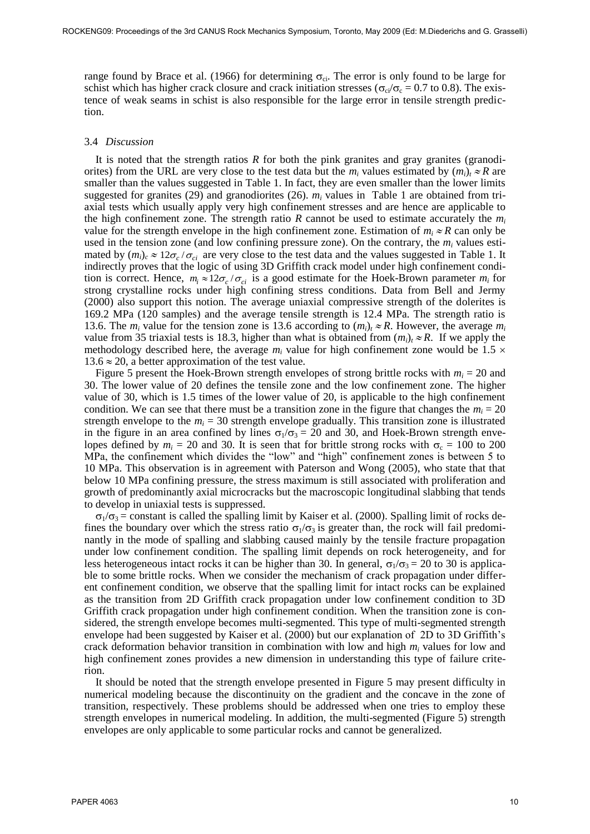range found by Brace et al. (1966) for determining  $\sigma_{ci}$ . The error is only found to be large for schist which has higher crack closure and crack initiation stresses ( $\sigma_{ci}/\sigma_c = 0.7$  to 0.8). The existence of weak seams in schist is also responsible for the large error in tensile strength prediction.

#### 3.4 *Discussion*

It is noted that the strength ratios *R* for both the pink granites and gray granites (granodiorites) from the URL are very close to the test data but the  $m_i$  values estimated by  $(m_i)_t \approx R$  are smaller than the values suggested in Table 1. In fact, they are even smaller than the lower limits suggested for granites (29) and granodiorites (26).  $m_i$  values in Table 1 are obtained from triaxial tests which usually apply very high confinement stresses and are hence are applicable to the high confinement zone. The strength ratio *R* cannot be used to estimate accurately the  $m_i$ value for the strength envelope in the high confinement zone. Estimation of  $m_i \approx R$  can only be used in the tension zone (and low confining pressure zone). On the contrary, the  $m_i$  values estimated by  $(m_i)_c \approx 12\sigma_c/\sigma_{ci}$  are very close to the test data and the values suggested in Table 1. It indirectly proves that the logic of using 3D Griffith crack model under high confinement condition is correct. Hence,  $m_i \approx 12\sigma_c/\sigma_{ci}$  is a good estimate for the Hoek-Brown parameter  $m_i$  for strong crystalline rocks under high confining stress conditions. Data from Bell and Jermy (2000) also support this notion. The average uniaxial compressive strength of the dolerites is 169.2 MPa (120 samples) and the average tensile strength is 12.4 MPa. The strength ratio is 13.6. The  $m_i$  value for the tension zone is 13.6 according to  $(m_i)_t \approx R$ . However, the average  $m_i$ value from 35 triaxial tests is 18.3, higher than what is obtained from  $(m_i)_t \approx R$ . If we apply the methodology described here, the average  $m_i$  value for high confinement zone would be 1.5  $\times$  $13.6 \approx 20$ , a better approximation of the test value.

Figure 5 present the Hoek-Brown strength envelopes of strong brittle rocks with  $m_i = 20$  and 30. The lower value of 20 defines the tensile zone and the low confinement zone. The higher value of 30, which is 1.5 times of the lower value of 20, is applicable to the high confinement condition. We can see that there must be a transition zone in the figure that changes the  $m_i = 20$ strength envelope to the  $m_i = 30$  strength envelope gradually. This transition zone is illustrated in the figure in an area confined by lines  $\sigma_1/\sigma_3 = 20$  and 30, and Hoek-Brown strength envelopes defined by  $m_i = 20$  and 30. It is seen that for brittle strong rocks with  $\sigma_c = 100$  to 200 MPa, the confinement which divides the "low" and "high" confinement zones is between 5 to 10 MPa. This observation is in agreement with Paterson and Wong (2005), who state that that below 10 MPa confining pressure, the stress maximum is still associated with proliferation and growth of predominantly axial microcracks but the macroscopic longitudinal slabbing that tends to develop in uniaxial tests is suppressed.

 $\sigma_1/\sigma_3$  = constant is called the spalling limit by Kaiser et al. (2000). Spalling limit of rocks defines the boundary over which the stress ratio  $\sigma_1/\sigma_3$  is greater than, the rock will fail predominantly in the mode of spalling and slabbing caused mainly by the tensile fracture propagation under low confinement condition. The spalling limit depends on rock heterogeneity, and for less heterogeneous intact rocks it can be higher than 30. In general,  $\sigma_1/\sigma_3 = 20$  to 30 is applicable to some brittle rocks. When we consider the mechanism of crack propagation under different confinement condition, we observe that the spalling limit for intact rocks can be explained as the transition from 2D Griffith crack propagation under low confinement condition to 3D Griffith crack propagation under high confinement condition. When the transition zone is considered, the strength envelope becomes multi-segmented. This type of multi-segmented strength envelope had been suggested by Kaiser et al. (2000) but our explanation of 2D to 3D Griffith's crack deformation behavior transition in combination with low and high  $m_i$  values for low and high confinement zones provides a new dimension in understanding this type of failure criterion.

It should be noted that the strength envelope presented in Figure 5 may present difficulty in numerical modeling because the discontinuity on the gradient and the concave in the zone of transition, respectively. These problems should be addressed when one tries to employ these strength envelopes in numerical modeling. In addition, the multi-segmented (Figure 5) strength envelopes are only applicable to some particular rocks and cannot be generalized.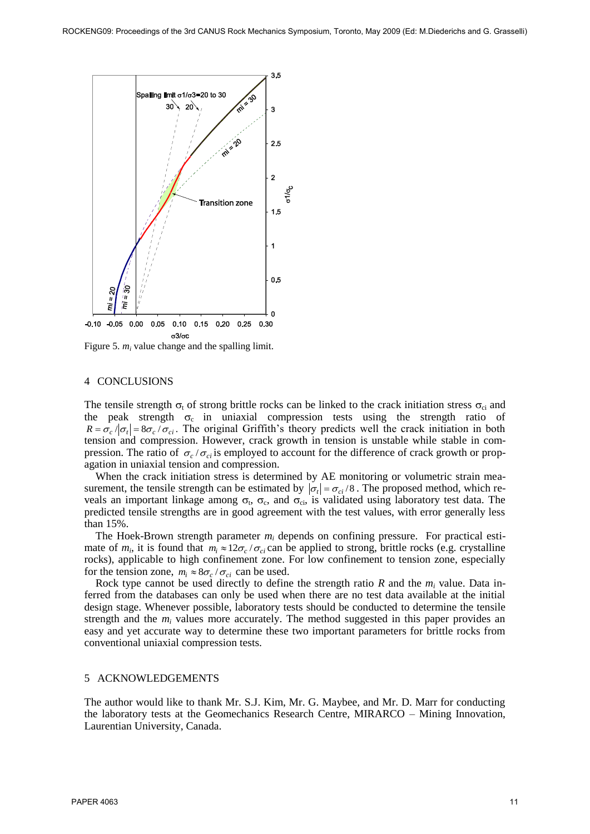

Figure 5.  $m_i$  value change and the spalling limit.

### 4 CONCLUSIONS

The tensile strength  $\sigma_t$  of strong brittle rocks can be linked to the crack initiation stress  $\sigma_{ci}$  and the peak strength  $\sigma_c$  in uniaxial compression tests using the strength ratio of  $R = \sigma_c / |\sigma_t| = 8\sigma_c / \sigma_{ci}$ . The original Griffith's theory predicts well the crack initiation in both tension and compression. However, crack growth in tension is unstable while stable in compression. The ratio of  $\sigma_c/\sigma_{ci}$  is employed to account for the difference of crack growth or propagation in uniaxial tension and compression.

When the crack initiation stress is determined by AE monitoring or volumetric strain measurement, the tensile strength can be estimated by  $|\sigma_t| = \sigma_{ci}/8$ . The proposed method, which reveals an important linkage among  $\sigma_t$ ,  $\sigma_c$ , and  $\sigma_{ci}$ , is validated using laboratory test data. The predicted tensile strengths are in good agreement with the test values, with error generally less than 15%.

The Hoek-Brown strength parameter *m<sup>i</sup>* depends on confining pressure. For practical estimate of  $m_i$ , it is found that  $m_i \approx 12\sigma_c/\sigma_{ci}$  can be applied to strong, brittle rocks (e.g. crystalline rocks), applicable to high confinement zone. For low confinement to tension zone, especially for the tension zone,  $m_i \approx 8\sigma_c / \sigma_{ci}$  can be used.

Rock type cannot be used directly to define the strength ratio  $R$  and the  $m_i$  value. Data inferred from the databases can only be used when there are no test data available at the initial design stage. Whenever possible, laboratory tests should be conducted to determine the tensile strength and the  $m_i$  values more accurately. The method suggested in this paper provides an easy and yet accurate way to determine these two important parameters for brittle rocks from conventional uniaxial compression tests.

# 5 ACKNOWLEDGEMENTS

The author would like to thank Mr. S.J. Kim, Mr. G. Maybee, and Mr. D. Marr for conducting the laboratory tests at the Geomechanics Research Centre, MIRARCO – Mining Innovation, Laurentian University, Canada.